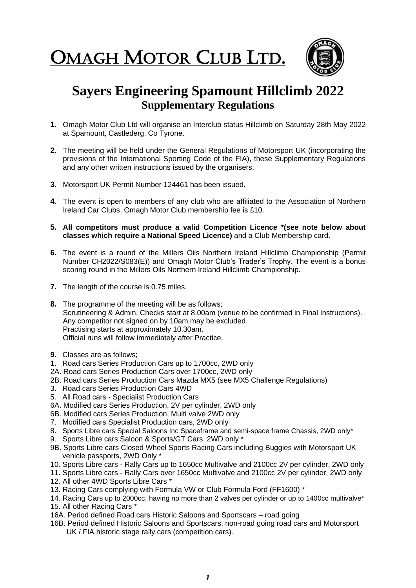OMAGH MOTOR CLUB LTD.  $\overline{\phantom{a}}$ 



## **Sayers Engineering Spamount Hillclimb 2022 Supplementary Regulations**

- **1.** Omagh Motor Club Ltd will organise an Interclub status Hillclimb on Saturday 28th May 2022 at Spamount, Castlederg, Co Tyrone.
- **2.** The meeting will be held under the General Regulations of Motorsport UK (incorporating the provisions of the International Sporting Code of the FIA), these Supplementary Regulations and any other written instructions issued by the organisers.
- **3.** Motorsport UK Permit Number 124461 has been issued**.**
- **4.** The event is open to members of any club who are affiliated to the Association of Northern Ireland Car Clubs. Omagh Motor Club membership fee is £10.
- **5. All competitors must produce a valid Competition Licence \*(see note below about classes which require a National Speed Licence)** and a Club Membership card.
- **6.** The event is a round of the Millers Oils Northern Ireland Hillclimb Championship (Permit Number CH2022/S083(E)) and Omagh Motor Club's Trader's Trophy. The event is a bonus scoring round in the Millers Oils Northern Ireland Hillclimb Championship.
- **7.** The length of the course is 0.75 miles.
- **8.** The programme of the meeting will be as follows; Scrutineering & Admin. Checks start at 8.00am (venue to be confirmed in Final Instructions). Any competitor not signed on by 10am may be excluded. Practising starts at approximately 10.30am. Official runs will follow immediately after Practice.
- **9.** Classes are as follows;
- 1. Road cars Series Production Cars up to 1700cc, 2WD only
- 2A. Road cars Series Production Cars over 1700cc, 2WD only
- 2B. Road cars Series Production Cars Mazda MX5 (see MX5 Challenge Regulations)
- 3. Road cars Series Production Cars 4WD
- 5. All Road cars Specialist Production Cars
- 6A. Modified cars Series Production, 2V per cylinder, 2WD only
- 6B. Modified cars Series Production, Multi valve 2WD only
- 7. Modified cars Specialist Production cars, 2WD only
- 8. Sports Libre cars Special Saloons Inc Spaceframe and semi-space frame Chassis, 2WD only\*
- 9. Sports Libre cars Saloon & Sports/GT Cars, 2WD only \*
- 9B. Sports Libre cars Closed Wheel Sports Racing Cars including Buggies with Motorsport UK vehicle passports, 2WD Only \*
- 10. Sports Libre cars Rally Cars up to 1650cc Multivalve and 2100cc 2V per cylinder, 2WD only
- 11. Sports Libre cars Rally Cars over 1650cc Multivalve and 2100cc 2V per cylinder, 2WD only
- 12. All other 4WD Sports Libre Cars \*
- 13. Racing Cars complying with Formula VW or Club Formula Ford (FF1600) \*
- 14. Racing Cars up to 2000cc, having no more than 2 valves per cylinder or up to 1400cc multivalve\*
- 15. All other Racing Cars \*
- 16A. Period defined Road cars Historic Saloons and Sportscars road going
- 16B. Period defined Historic Saloons and Sportscars, non-road going road cars and Motorsport UK / FIA historic stage rally cars (competition cars).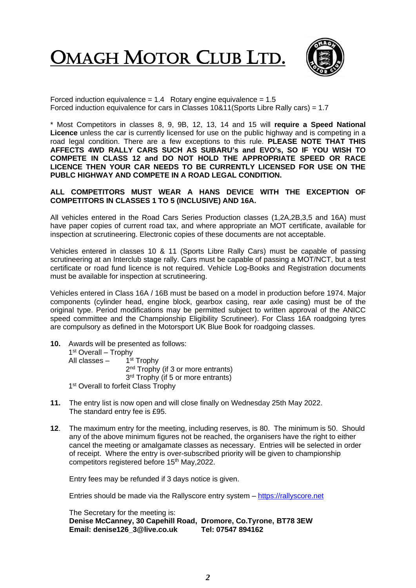OMAGH MOTOR CLUB LTD.  $\overline{\phantom{a}}$ 



Forced induction equivalence =  $1.4$  Rotary engine equivalence =  $1.5$ Forced induction equivalence for cars in Classes 10&11(Sports Libre Rally cars) = 1.7

\* Most Competitors in classes 8, 9, 9B, 12, 13, 14 and 15 will **require a Speed National Licence** unless the car is currently licensed for use on the public highway and is competing in a road legal condition. There are a few exceptions to this rule. **PLEASE NOTE THAT THIS AFFECTS 4WD RALLY CARS SUCH AS SUBARU's and EVO's, SO IF YOU WISH TO COMPETE IN CLASS 12 and DO NOT HOLD THE APPROPRIATE SPEED OR RACE LICENCE THEN YOUR CAR NEEDS TO BE CURRENTLY LICENSED FOR USE ON THE PUBLC HIGHWAY AND COMPETE IN A ROAD LEGAL CONDITION.**

## **ALL COMPETITORS MUST WEAR A HANS DEVICE WITH THE EXCEPTION OF COMPETITORS IN CLASSES 1 TO 5 (INCLUSIVE) AND 16A.**

All vehicles entered in the Road Cars Series Production classes (1,2A,2B,3,5 and 16A) must have paper copies of current road tax, and where appropriate an MOT certificate, available for inspection at scrutineering. Electronic copies of these documents are not acceptable.

Vehicles entered in classes 10 & 11 (Sports Libre Rally Cars) must be capable of passing scrutineering at an Interclub stage rally. Cars must be capable of passing a MOT/NCT, but a test certificate or road fund licence is not required. Vehicle Log-Books and Registration documents must be available for inspection at scrutineering.

Vehicles entered in Class 16A / 16B must be based on a model in production before 1974. Major components (cylinder head, engine block, gearbox casing, rear axle casing) must be of the original type. Period modifications may be permitted subject to written approval of the ANICC speed committee and the Championship Eligibility Scrutineer). For Class 16A roadgoing tyres are compulsory as defined in the Motorsport UK Blue Book for roadgoing classes.

- **10.** Awards will be presented as follows: 1<sup>st</sup> Overall – Trophy All classes – 1 1<sup>st</sup> Trophy 2<sup>nd</sup> Trophy (if 3 or more entrants) 3<sup>rd</sup> Trophy (if 5 or more entrants) 1<sup>st</sup> Overall to forfeit Class Trophy
- **11.** The entry list is now open and will close finally on Wednesday 25th May 2022. The standard entry fee is £95.
- **12**. The maximum entry for the meeting, including reserves, is 80. The minimum is 50. Should any of the above minimum figures not be reached, the organisers have the right to either cancel the meeting or amalgamate classes as necessary. Entries will be selected in order of receipt. Where the entry is over-subscribed priority will be given to championship competitors registered before 15<sup>th</sup> May, 2022.

Entry fees may be refunded if 3 days notice is given.

Entries should be made via the Rallyscore entry system – [https://rallyscore.net](https://rallyscore.net/)

The Secretary for the meeting is: **Denise McCanney, 30 Capehill Road, Dromore, Co.Tyrone, BT78 3EW Email: [denise126\\_3@live.co.uk](mailto:denise126_3@live.co.uk) Tel: 07547 894162**